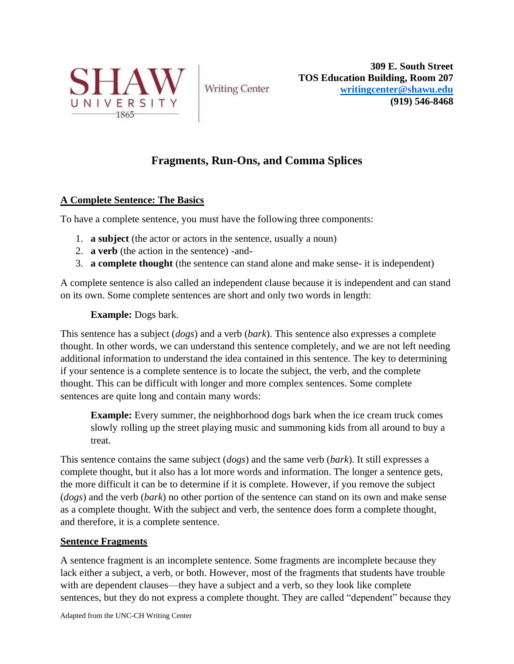

**Writing Center** 

**309 E. South Street TOS Education Building, Room 207 [writingcenter@shawu.edu](mailto:writingcenter@shawu.edu) (919) 546-8468**

# **Fragments, Run-Ons, and Comma Splices**

### **A Complete Sentence: The Basics**

To have a complete sentence, you must have the following three components:

- 1. **a subject** (the actor or actors in the sentence, usually a noun)
- 2. **a verb** (the action in the sentence) -and-
- 3. **a complete thought** (the sentence can stand alone and make sense- it is independent)

A complete sentence is also called an independent clause because it is independent and can stand on its own. Some complete sentences are short and only two words in length:

### **Example:** Dogs bark.

This sentence has a subject (*dogs*) and a verb (*bark*). This sentence also expresses a complete thought. In other words, we can understand this sentence completely, and we are not left needing additional information to understand the idea contained in this sentence. The key to determining if your sentence is a complete sentence is to locate the subject, the verb, and the complete thought. This can be difficult with longer and more complex sentences. Some complete sentences are quite long and contain many words:

**Example:** Every summer, the neighborhood dogs bark when the ice cream truck comes slowly rolling up the street playing music and summoning kids from all around to buy a treat.

This sentence contains the same subject (*dogs*) and the same verb (*bark*). It still expresses a complete thought, but it also has a lot more words and information. The longer a sentence gets, the more difficult it can be to determine if it is complete. However, if you remove the subject (*dogs*) and the verb (*bark*) no other portion of the sentence can stand on its own and make sense as a complete thought. With the subject and verb, the sentence does form a complete thought, and therefore, it is a complete sentence.

#### **Sentence Fragments**

A sentence fragment is an incomplete sentence. Some fragments are incomplete because they lack either a subject, a verb, or both. However, most of the fragments that students have trouble with are dependent clauses—they have a subject and a verb, so they look like complete sentences, but they do not express a complete thought. They are called "dependent" because they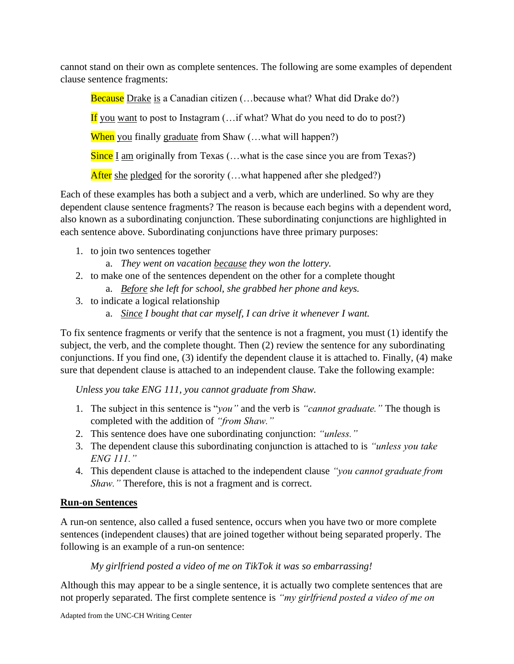cannot stand on their own as complete sentences. The following are some examples of dependent clause sentence fragments:

Because Drake is a Canadian citizen (...because what? What did Drake do?)

If you want to post to Instagram  $(...$ if what? What do you need to do to post?)

When you finally graduate from Shaw (...what will happen?)

Since I am originally from Texas (...what is the case since you are from Texas?)

After she pledged for the sorority  $(...$ what happened after she pledged?)

Each of these examples has both a subject and a verb, which are underlined. So why are they dependent clause sentence fragments? The reason is because each begins with a dependent word, also known as a subordinating conjunction. These subordinating conjunctions are highlighted in each sentence above. Subordinating conjunctions have three primary purposes:

- 1. to join two sentences together
	- a. *They went on vacation because they won the lottery.*
- 2. to make one of the sentences dependent on the other for a complete thought a. *Before she left for school, she grabbed her phone and keys.*
- 3. to indicate a logical relationship
	- a. *Since I bought that car myself, I can drive it whenever I want.*

To fix sentence fragments or verify that the sentence is not a fragment, you must (1) identify the subject, the verb, and the complete thought. Then (2) review the sentence for any subordinating conjunctions. If you find one, (3) identify the dependent clause it is attached to. Finally, (4) make sure that dependent clause is attached to an independent clause. Take the following example:

*Unless you take ENG 111, you cannot graduate from Shaw.*

- 1. The subject in this sentence is "*you"* and the verb is *"cannot graduate."* The though is completed with the addition of *"from Shaw."*
- 2. This sentence does have one subordinating conjunction: *"unless."*
- 3. The dependent clause this subordinating conjunction is attached to is *"unless you take ENG 111."*
- 4. This dependent clause is attached to the independent clause *"you cannot graduate from Shaw."* Therefore, this is not a fragment and is correct.

## **Run-on Sentences**

A run-on sentence, also called a fused sentence, occurs when you have two or more complete sentences (independent clauses) that are joined together without being separated properly. The following is an example of a run-on sentence:

*My girlfriend posted a video of me on TikTok it was so embarrassing!*

Although this may appear to be a single sentence, it is actually two complete sentences that are not properly separated. The first complete sentence is *"my girlfriend posted a video of me on*